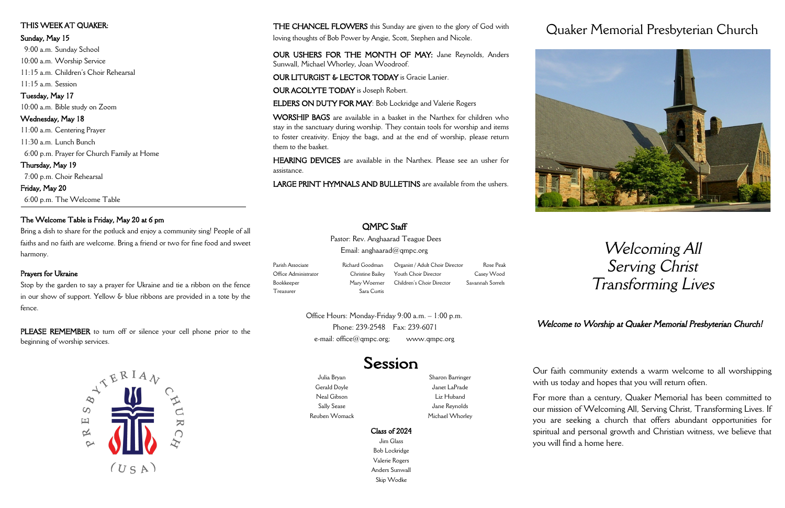Julia Bryan Gerald Doyle Neal Gibson Sally Sease Reuben Womack

Sharon Barringer Janet LaPrade Liz Huband Jane Reynolds Michael Whorley

# Session

# Class of 2024

Jim Glass Bob Lockridge Valerie Rogers Anders Sunwall Skip Wodke

# Quaker Memorial Presbyterian Church

# *Welcoming All Serving Christ Transforming Lives*

Our faith community extends a warm welcome to all worshipping with us today and hopes that you will return often.

For more than a century, Quaker Memorial has been committed to our mission of Welcoming All, Serving Christ, Transforming Lives. If you are seeking a church that offers abundant opportunities for spiritual and personal growth and Christian witness, we believe that you will find a home here.

THE CHANCEL FLOWERS this Sunday are given to the glory of God with loving thoughts of Bob Power by Angie, Scott, Stephen and Nicole.

OUR USHERS FOR THE MONTH OF MAY: Jane Reynolds, Anders Sunwall, Michael Whorley, Joan Woodroof.

OUR LITURGIST & LECTOR TODAY is Gracie Lanier.

OUR ACOLYTE TODAY is Joseph Robert.

ELDERS ON DUTY FOR MAY: Bob Lockridge and Valerie Rogers

PLEASE REMEMBER to turn off or silence your cell phone prior to the beginning of worship services.



Pastor: Rev. Anghaarad Teague Dees Email: anghaarad $@$ qmpc.org

Parish Associate **Richard Goodman** Office Administrator Christine Bailey Bookkeeper Mary Woerner Treasurer Sara Curtis

WORSHIP BAGS are available in a basket in the Narthex for children who stay in the sanctuary during worship. They contain tools for worship and items to foster creativity. Enjoy the bags, and at the end of worship, please return them to the basket.

> Office Hours: Monday-Friday 9:00 a.m. – 1:00 p.m. Phone: 239-2548 Fax: 239-6071 e-mail:  $office@qmpc.org;$  www.qmpc.org

HEARING DEVICES are available in the Narthex. Please see an usher for assistance.

LARGE PRINT HYMNALS AND BULLETINS are available from the ushers.



# OMPC Staff

# THIS WEEK AT QUAKER:

#### Sunday, May 15

 9:00 a.m. Sunday School 10:00 a.m. Worship Service 11:15 a.m. Children's Choir Rehearsal 11:15 a.m. Session Tuesday, May 17

10:00 a.m. Bible study on Zoom Wednesday, May 18

11:00 a.m. Centering Prayer 11:30 a.m. Lunch Bunch

6:00 p.m. Prayer for Church Family at Home

Thursday, May 19 7:00 p.m. Choir Rehearsal

Friday, May 20 6:00 p.m. The Welcome Table

# The Welcome Table is Friday, May 20 at 6 pm

Bring a dish to share for the potluck and enjoy a community sing! People of all faiths and no faith are welcome. Bring a friend or two for fine food and sweet harmony.

# Prayers for Ukraine

ł

Stop by the garden to say a prayer for Ukraine and tie a ribbon on the fence in our show of support. Yellow & blue ribbons are provided in a tote by the fence.

Organist / Adult Choir Director Rose Peak Youth Choir Director Casey Wood Children's Choir Director Savannah Sorrels

# *Welcome to Worship at Quaker Memorial Presbyterian Church!*